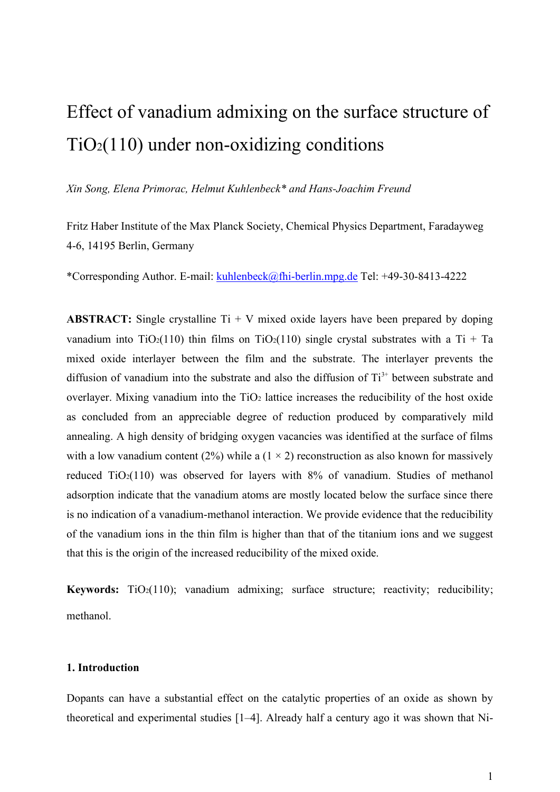# Effect of vanadium admixing on the surface structure of TiO2(110) under non-oxidizing conditions

*Xin Song, Elena Primorac, Helmut Kuhlenbeck\* and Hans-Joachim Freund*

Fritz Haber Institute of the Max Planck Society, Chemical Physics Department, Faradayweg 4-6, 14195 Berlin, Germany

\*Corresponding Author. E-mail: [kuhlenbeck@fhi-berlin.mpg.de](mailto:kuhlenbeck@fhi-berlin.mpg.de) Tel: +49-30-8413-4222

**ABSTRACT:** Single crystalline  $Ti + V$  mixed oxide layers have been prepared by doping vanadium into TiO2(110) thin films on TiO2(110) single crystal substrates with a Ti + Ta mixed oxide interlayer between the film and the substrate. The interlayer prevents the diffusion of vanadium into the substrate and also the diffusion of  $Ti<sup>3+</sup>$  between substrate and overlayer. Mixing vanadium into the  $TiO<sub>2</sub>$  lattice increases the reducibility of the host oxide as concluded from an appreciable degree of reduction produced by comparatively mild annealing. A high density of bridging oxygen vacancies was identified at the surface of films with a low vanadium content (2%) while a (1  $\times$  2) reconstruction as also known for massively reduced  $TiO<sub>2</sub>(110)$  was observed for layers with 8% of vanadium. Studies of methanol adsorption indicate that the vanadium atoms are mostly located below the surface since there is no indication of a vanadium-methanol interaction. We provide evidence that the reducibility of the vanadium ions in the thin film is higher than that of the titanium ions and we suggest that this is the origin of the increased reducibility of the mixed oxide.

**Keywords:** TiO<sub>2</sub>(110); vanadium admixing; surface structure; reactivity; reducibility; methanol.

## **1. Introduction**

Dopants can have a substantial effect on the catalytic properties of an oxide as shown by theoretical and experimental studies [1–4]. Already half a century ago it was shown that Ni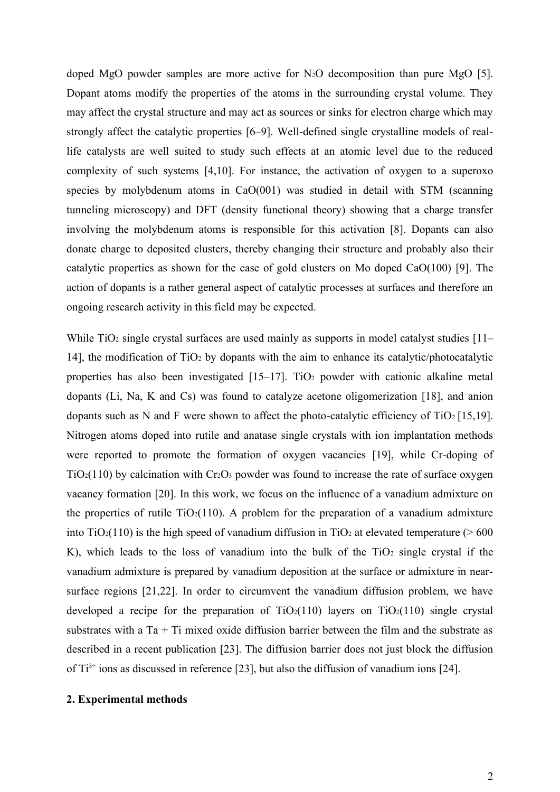doped MgO powder samples are more active for N<sub>2</sub>O decomposition than pure MgO [5]. Dopant atoms modify the properties of the atoms in the surrounding crystal volume. They may affect the crystal structure and may act as sources or sinks for electron charge which may strongly affect the catalytic properties [6–9]. Well-defined single crystalline models of reallife catalysts are well suited to study such effects at an atomic level due to the reduced complexity of such systems [4,10]. For instance, the activation of oxygen to a superoxo species by molybdenum atoms in CaO(001) was studied in detail with STM (scanning tunneling microscopy) and DFT (density functional theory) showing that a charge transfer involving the molybdenum atoms is responsible for this activation [8]. Dopants can also donate charge to deposited clusters, thereby changing their structure and probably also their catalytic properties as shown for the case of gold clusters on Mo doped CaO(100) [9]. The action of dopants is a rather general aspect of catalytic processes at surfaces and therefore an ongoing research activity in this field may be expected.

While  $TiO<sub>2</sub>$  single crystal surfaces are used mainly as supports in model catalyst studies  $[11-$ 14], the modification of  $TiO<sub>2</sub>$  by dopants with the aim to enhance its catalytic/photocatalytic properties has also been investigated  $[15-17]$ . TiO<sub>2</sub> powder with cationic alkaline metal dopants (Li, Na, K and Cs) was found to catalyze acetone oligomerization [18], and anion dopants such as N and F were shown to affect the photo-catalytic efficiency of  $TiO<sub>2</sub> [15,19]$ . Nitrogen atoms doped into rutile and anatase single crystals with ion implantation methods were reported to promote the formation of oxygen vacancies [19], while Cr-doping of  $TiO<sub>2</sub>(110)$  by calcination with  $Cr<sub>2</sub>O<sub>3</sub>$  powder was found to increase the rate of surface oxygen vacancy formation [20]. In this work, we focus on the influence of a vanadium admixture on the properties of rutile  $TiO<sub>2</sub>(110)$ . A problem for the preparation of a vanadium admixture into  $TiO<sub>2</sub>(110)$  is the high speed of vanadium diffusion in  $TiO<sub>2</sub>$  at elevated temperature (> 600 K), which leads to the loss of vanadium into the bulk of the  $TiO<sub>2</sub>$  single crystal if the vanadium admixture is prepared by vanadium deposition at the surface or admixture in nearsurface regions [21,22]. In order to circumvent the vanadium diffusion problem, we have developed a recipe for the preparation of  $TiO<sub>2</sub>(110)$  layers on  $TiO<sub>2</sub>(110)$  single crystal substrates with a  $Ta + Ti$  mixed oxide diffusion barrier between the film and the substrate as described in a recent publication [23]. The diffusion barrier does not just block the diffusion of  $Ti^{3+}$  ions as discussed in reference [23], but also the diffusion of vanadium ions [24].

## **2. Experimental methods**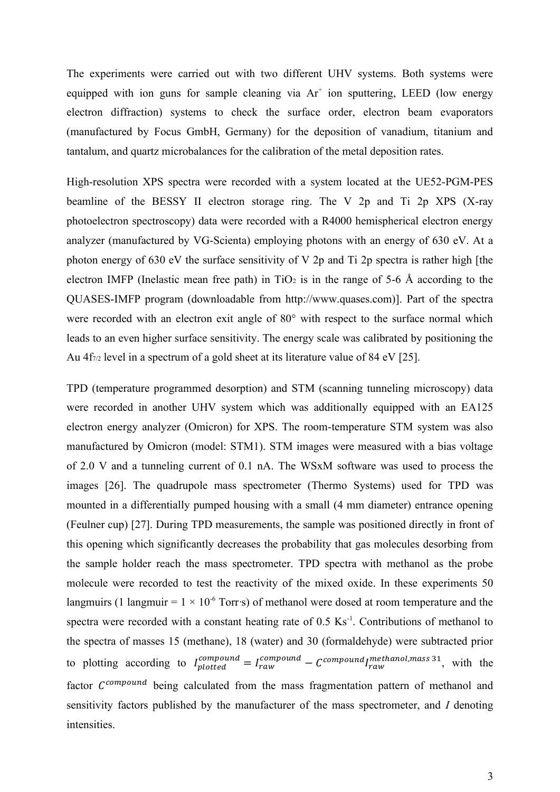The experiments were carried out with two different UHV systems. Both systems were equipped with ion guns for sample cleaning via  $Ar^+$  ion sputtering, LEED (low energy electron diffraction) systems to check the surface order, electron beam evaporators (manufactured by Focus GmbH, Germany) for the deposition of vanadium, titanium and tantalum, and quartz microbalances for the calibration of the metal deposition rates.

High-resolution XPS spectra were recorded with a system located at the UE52-PGM-PES beamline of the BESSY II electron storage ring. The V 2p and Ti 2p XPS (X-ray photoelectron spectroscopy) data were recorded with a R4000 hemispherical electron energy analyzer (manufactured by VG-Scienta) employing photons with an energy of 630 eV. At a photon energy of 630 eV the surface sensitivity of V 2p and Ti 2p spectra is rather high [the electron IMFP (Inelastic mean free path) in  $TiO<sub>2</sub>$  is in the range of 5-6 Å according to the QUASES-IMFP program (downloadable from http://www.quases.com)]. Part of the spectra were recorded with an electron exit angle of 80° with respect to the surface normal which leads to an even higher surface sensitivity. The energy scale was calibrated by positioning the Au  $4f_{7/2}$  level in a spectrum of a gold sheet at its literature value of 84 eV [25].

TPD (temperature programmed desorption) and STM (scanning tunneling microscopy) data were recorded in another UHV system which was additionally equipped with an EA125 electron energy analyzer (Omicron) for XPS. The room-temperature STM system was also manufactured by Omicron (model: STM1). STM images were measured with a bias voltage of 2.0 V and a tunneling current of 0.1 nA. The WSxM software was used to process the images [26]. The quadrupole mass spectrometer (Thermo Systems) used for TPD was mounted in a differentially pumped housing with a small (4 mm diameter) entrance opening (Feulner cup) [27]. During TPD measurements, the sample was positioned directly in front of this opening which significantly decreases the probability that gas molecules desorbing from the sample holder reach the mass spectrometer. TPD spectra with methanol as the probe molecule were recorded to test the reactivity of the mixed oxide. In these experiments 50 langmuirs (1 langmuir =  $1 \times 10^{-6}$  Torr $\cdot$ s) of methanol were dosed at room temperature and the spectra were recorded with a constant heating rate of  $0.5 \text{ Ks}^{-1}$ . Contributions of methanol to the spectra of masses 15 (methane), 18 (water) and 30 (formaldehyde) were subtracted prior to plotting according to  $I_{plotted}^{compound} = I_{raw}^{compound} - C^{compound} I_{raw}^{methanol, mass 31}$ , with the factor  $C^{compound}$  being calculated from the mass fragmentation pattern of methanol and sensitivity factors published by the manufacturer of the mass spectrometer, and *I* denoting intensities.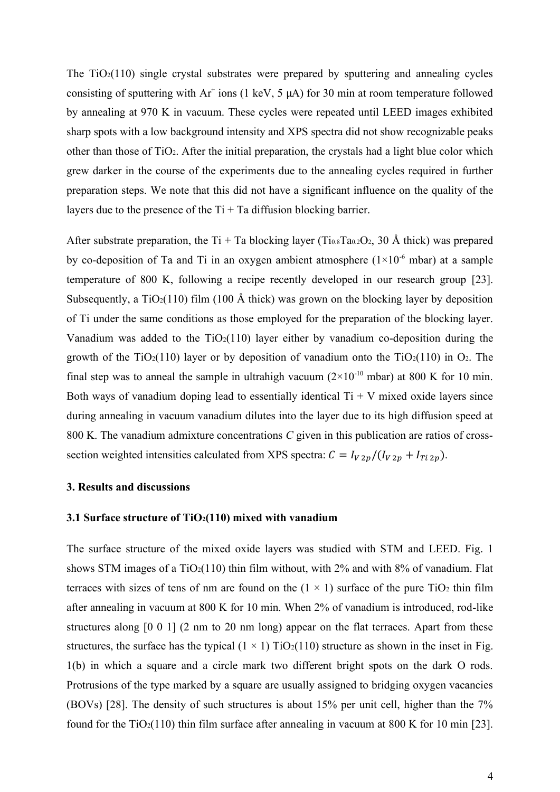The  $TiO<sub>2</sub>(110)$  single crystal substrates were prepared by sputtering and annealing cycles consisting of sputtering with  $Ar^+$  ions (1 keV, 5  $\mu$ A) for 30 min at room temperature followed by annealing at 970 K in vacuum. These cycles were repeated until LEED images exhibited sharp spots with a low background intensity and XPS spectra did not show recognizable peaks other than those of TiO2. After the initial preparation, the crystals had a light blue color which grew darker in the course of the experiments due to the annealing cycles required in further preparation steps. We note that this did not have a significant influence on the quality of the layers due to the presence of the  $Ti + Ta$  diffusion blocking barrier.

After substrate preparation, the Ti + Ta blocking layer (Ti<sub>0.8</sub>Ta<sub>0.2</sub>O<sub>2</sub>, 30 Å thick) was prepared by co-deposition of Ta and Ti in an oxygen ambient atmosphere  $(1\times10^{-6}$  mbar) at a sample temperature of 800 K, following a recipe recently developed in our research group [23]. Subsequently, a  $TiO<sub>2</sub>(110)$  film (100 Å thick) was grown on the blocking layer by deposition of Ti under the same conditions as those employed for the preparation of the blocking layer. Vanadium was added to the  $TiO<sub>2</sub>(110)$  layer either by vanadium co-deposition during the growth of the TiO<sub>2</sub>(110) layer or by deposition of vanadium onto the TiO<sub>2</sub>(110) in O<sub>2</sub>. The final step was to anneal the sample in ultrahigh vacuum  $(2\times10^{-10}$  mbar) at 800 K for 10 min. Both ways of vanadium doping lead to essentially identical  $Ti + V$  mixed oxide layers since during annealing in vacuum vanadium dilutes into the layer due to its high diffusion speed at 800 K. The vanadium admixture concentrations *C* given in this publication are ratios of crosssection weighted intensities calculated from XPS spectra:  $C = I_{V2p}/(I_{V2p} + I_{Ti2p})$ .

## **3. Results and discussions**

#### **3.1 Surface structure of TiO2(110) mixed with vanadium**

The surface structure of the mixed oxide layers was studied with STM and LEED. Fig. 1 shows STM images of a  $TiO<sub>2</sub>(110)$  thin film without, with 2% and with 8% of vanadium. Flat terraces with sizes of tens of nm are found on the  $(1 \times 1)$  surface of the pure TiO<sub>2</sub> thin film after annealing in vacuum at 800 K for 10 min. When 2% of vanadium is introduced, rod-like structures along [0 0 1] (2 nm to 20 nm long) appear on the flat terraces. Apart from these structures, the surface has the typical  $(1 \times 1)$  TiO<sub>2</sub>(110) structure as shown in the inset in Fig. 1(b) in which a square and a circle mark two different bright spots on the dark O rods. Protrusions of the type marked by a square are usually assigned to bridging oxygen vacancies (BOVs) [28]. The density of such structures is about 15% per unit cell, higher than the 7% found for the TiO<sub>2</sub>(110) thin film surface after annealing in vacuum at 800 K for 10 min [23].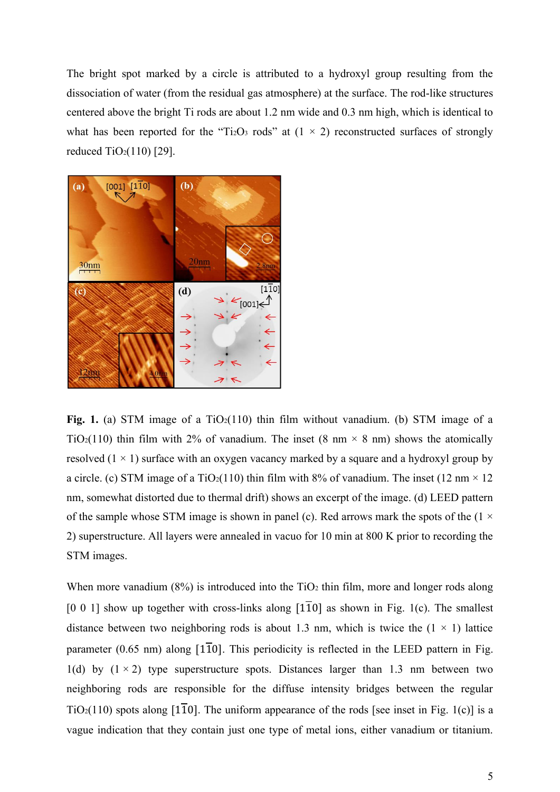The bright spot marked by a circle is attributed to a hydroxyl group resulting from the dissociation of water (from the residual gas atmosphere) at the surface. The rod-like structures centered above the bright Ti rods are about 1.2 nm wide and 0.3 nm high, which is identical to what has been reported for the "Ti<sub>2</sub>O<sub>3</sub> rods" at  $(1 \times 2)$  reconstructed surfaces of strongly reduced  $TiO<sub>2</sub>(110)$  [29].



**Fig.** 1. (a) STM image of a  $TiO<sub>2</sub>(110)$  thin film without vanadium. (b) STM image of a TiO<sub>2</sub>(110) thin film with 2% of vanadium. The inset (8 nm  $\times$  8 nm) shows the atomically resolved  $(1 \times 1)$  surface with an oxygen vacancy marked by a square and a hydroxyl group by a circle. (c) STM image of a TiO<sub>2</sub>(110) thin film with 8% of vanadium. The inset (12 nm  $\times$  12 nm, somewhat distorted due to thermal drift) shows an excerpt of the image. (d) LEED pattern of the sample whose STM image is shown in panel (c). Red arrows mark the spots of the  $(1 \times$ 2) superstructure. All layers were annealed in vacuo for 10 min at 800 K prior to recording the STM images.

When more vanadium  $(8\%)$  is introduced into the TiO<sub>2</sub> thin film, more and longer rods along [0 0 1] show up together with cross-links along  $[1\overline{1}0]$  as shown in Fig. 1(c). The smallest distance between two neighboring rods is about 1.3 nm, which is twice the  $(1 \times 1)$  lattice parameter (0.65 nm) along  $[1\overline{1}0]$ . This periodicity is reflected in the LEED pattern in Fig. 1(d) by  $(1 \times 2)$  type superstructure spots. Distances larger than 1.3 nm between two neighboring rods are responsible for the diffuse intensity bridges between the regular  $TiO<sub>2</sub>(110)$  spots along [110]. The uniform appearance of the rods [see inset in Fig. 1(c)] is a vague indication that they contain just one type of metal ions, either vanadium or titanium.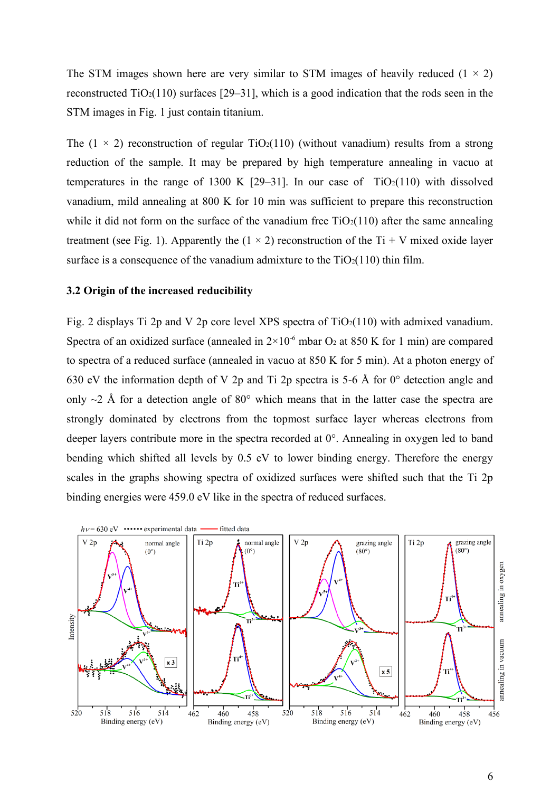The STM images shown here are very similar to STM images of heavily reduced  $(1 \times 2)$ reconstructed  $TiO<sub>2</sub>(110)$  surfaces [29–31], which is a good indication that the rods seen in the STM images in Fig. 1 just contain titanium.

The  $(1 \times 2)$  reconstruction of regular TiO<sub>2</sub>(110) (without vanadium) results from a strong reduction of the sample. It may be prepared by high temperature annealing in vacuo at temperatures in the range of 1300 K  $[29-31]$ . In our case of TiO<sub>2</sub>(110) with dissolved vanadium, mild annealing at 800 K for 10 min was sufficient to prepare this reconstruction while it did not form on the surface of the vanadium free  $TiO<sub>2</sub>(110)$  after the same annealing treatment (see Fig. 1). Apparently the  $(1 \times 2)$  reconstruction of the Ti + V mixed oxide layer surface is a consequence of the vanadium admixture to the  $TiO<sub>2</sub>(110)$  thin film.

#### **3.2 Origin of the increased reducibility**

Fig. 2 displays Ti 2p and V 2p core level XPS spectra of  $TiO<sub>2</sub>(110)$  with admixed vanadium. Spectra of an oxidized surface (annealed in  $2\times10^{-6}$  mbar O<sub>2</sub> at 850 K for 1 min) are compared to spectra of a reduced surface (annealed in vacuo at 850 K for 5 min). At a photon energy of 630 eV the information depth of V 2p and Ti 2p spectra is 5-6 Å for 0° detection angle and only  $\sim$ 2 Å for a detection angle of 80 $\degree$  which means that in the latter case the spectra are strongly dominated by electrons from the topmost surface layer whereas electrons from deeper layers contribute more in the spectra recorded at 0°. Annealing in oxygen led to band bending which shifted all levels by 0.5 eV to lower binding energy. Therefore the energy scales in the graphs showing spectra of oxidized surfaces were shifted such that the Ti 2p binding energies were 459.0 eV like in the spectra of reduced surfaces.

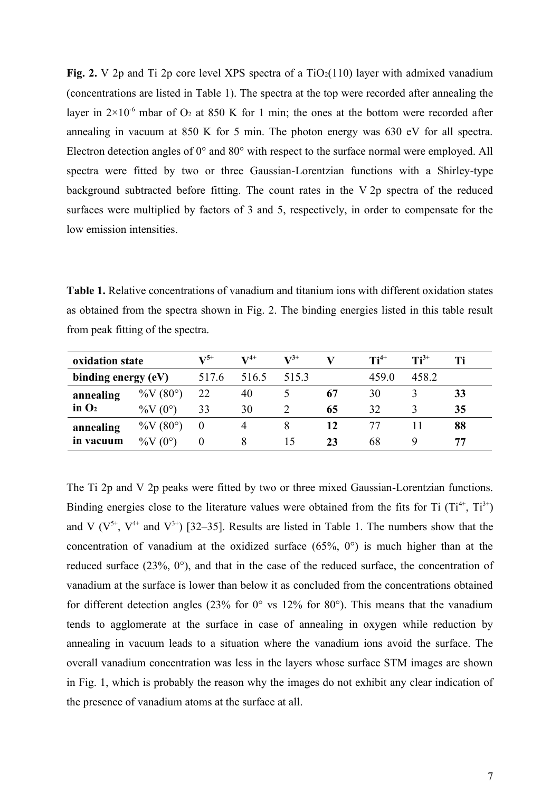**Fig. 2.** V 2p and Ti 2p core level XPS spectra of a  $TiO_2(110)$  layer with admixed vanadium (concentrations are listed in Table 1). The spectra at the top were recorded after annealing the layer in  $2\times10^{-6}$  mbar of O<sub>2</sub> at 850 K for 1 min; the ones at the bottom were recorded after annealing in vacuum at 850 K for 5 min. The photon energy was 630 eV for all spectra. Electron detection angles of 0° and 80° with respect to the surface normal were employed. All spectra were fitted by two or three Gaussian-Lorentzian functions with a Shirley-type background subtracted before fitting. The count rates in the V 2p spectra of the reduced surfaces were multiplied by factors of 3 and 5, respectively, in order to compensate for the low emission intensities.

**Table 1.** Relative concentrations of vanadium and titanium ions with different oxidation states as obtained from the spectra shown in Fig. 2. The binding energies listed in this table result from peak fitting of the spectra.

| oxidation state        |                         | $V^{5+}$ | $V^{4+}$ | $V^{3+}$ |    | $\mathbf{T}$ i <sup>4+</sup> | $Ti^{3+}$ |    |
|------------------------|-------------------------|----------|----------|----------|----|------------------------------|-----------|----|
| binding energy (eV)    |                         | 517.6    | 516.5    | 515.3    |    | 459.0                        | 458.2     |    |
| annealing<br>in $O2$   | $\%V(80^{\circ})$       | 22       | 40       |          | 67 | 30                           |           | 33 |
|                        | %V $(0^{\circ})$        | 33       | 30       |          | 65 | 32                           |           | 35 |
| annealing<br>in vacuum | $\%V(80^{\circ})$       |          |          |          | 12 |                              |           | 88 |
|                        | $(0^{\circ})$<br>$\%$ V |          |          | 15       | 23 | 68                           |           | 77 |

The Ti 2p and V 2p peaks were fitted by two or three mixed Gaussian-Lorentzian functions. Binding energies close to the literature values were obtained from the fits for Ti  $(Ti^{4+}, Ti^{3+})$ and V  $(V^{5+}, V^{4+}$  and  $V^{3+}$ ) [32–35]. Results are listed in Table 1. The numbers show that the concentration of vanadium at the oxidized surface (65%, 0°) is much higher than at the reduced surface (23%, 0°), and that in the case of the reduced surface, the concentration of vanadium at the surface is lower than below it as concluded from the concentrations obtained for different detection angles (23% for  $0^{\circ}$  vs 12% for 80°). This means that the vanadium tends to agglomerate at the surface in case of annealing in oxygen while reduction by annealing in vacuum leads to a situation where the vanadium ions avoid the surface. The overall vanadium concentration was less in the layers whose surface STM images are shown in Fig. 1, which is probably the reason why the images do not exhibit any clear indication of the presence of vanadium atoms at the surface at all.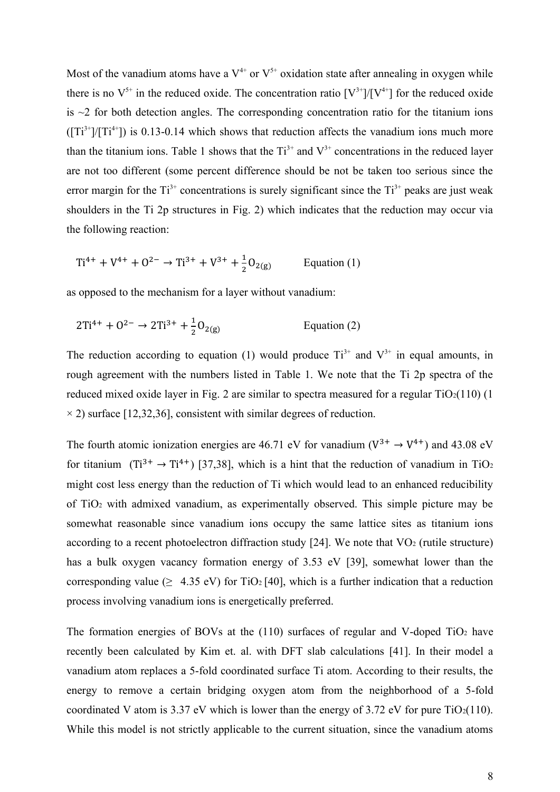Most of the vanadium atoms have a  $V^{4+}$  or  $V^{5+}$  oxidation state after annealing in oxygen while there is no  $V^{5+}$  in the reduced oxide. The concentration ratio  $[V^{3+}]/[V^{4+}]$  for the reduced oxide is  $\sim$ 2 for both detection angles. The corresponding concentration ratio for the titanium ions  $(\text{Tr}^{3+}]/\text{Tr}^{4+}$ ) is 0.13-0.14 which shows that reduction affects the vanadium ions much more than the titanium ions. Table 1 shows that the  $Ti^{3+}$  and  $V^{3+}$  concentrations in the reduced layer are not too different (some percent difference should be not be taken too serious since the error margin for the  $Ti^{3+}$  concentrations is surely significant since the  $Ti^{3+}$  peaks are just weak shoulders in the Ti 2p structures in Fig. 2) which indicates that the reduction may occur via the following reaction:

$$
Ti^{4+} + V^{4+} + O^{2-} \rightarrow Ti^{3+} + V^{3+} + \frac{1}{2}O_{2(g)}
$$
 Equation (1)

as opposed to the mechanism for a layer without vanadium:

$$
2Ti^{4+} + O^{2-} \to 2Ti^{3+} + \frac{1}{2}O_{2(g)}
$$
 Equation (2)

The reduction according to equation (1) would produce  $Ti^{3+}$  and  $V^{3+}$  in equal amounts, in rough agreement with the numbers listed in Table 1. We note that the Ti 2p spectra of the reduced mixed oxide layer in Fig. 2 are similar to spectra measured for a regular  $TiO<sub>2</sub>(110)$  (1  $\times$  2) surface [12,32,36], consistent with similar degrees of reduction.

The fourth atomic ionization energies are 46.71 eV for vanadium ( $V^{3+} \rightarrow V^{4+}$ ) and 43.08 eV for titanium  $(Ti^{3+} \rightarrow Ti^{4+})$  [37,38], which is a hint that the reduction of vanadium in TiO<sub>2</sub> might cost less energy than the reduction of Ti which would lead to an enhanced reducibility of TiO<sup>2</sup> with admixed vanadium, as experimentally observed. This simple picture may be somewhat reasonable since vanadium ions occupy the same lattice sites as titanium ions according to a recent photoelectron diffraction study  $[24]$ . We note that  $VO<sub>2</sub>$  (rutile structure) has a bulk oxygen vacancy formation energy of 3.53 eV [39], somewhat lower than the corresponding value ( $\geq$  4.35 eV) for TiO<sub>2</sub> [40], which is a further indication that a reduction process involving vanadium ions is energetically preferred.

The formation energies of BOVs at the  $(110)$  surfaces of regular and V-doped TiO<sub>2</sub> have recently been calculated by Kim et. al. with DFT slab calculations [41]. In their model a vanadium atom replaces a 5-fold coordinated surface Ti atom. According to their results, the energy to remove a certain bridging oxygen atom from the neighborhood of a 5-fold coordinated V atom is 3.37 eV which is lower than the energy of 3.72 eV for pure  $TiO<sub>2</sub>(110)$ . While this model is not strictly applicable to the current situation, since the vanadium atoms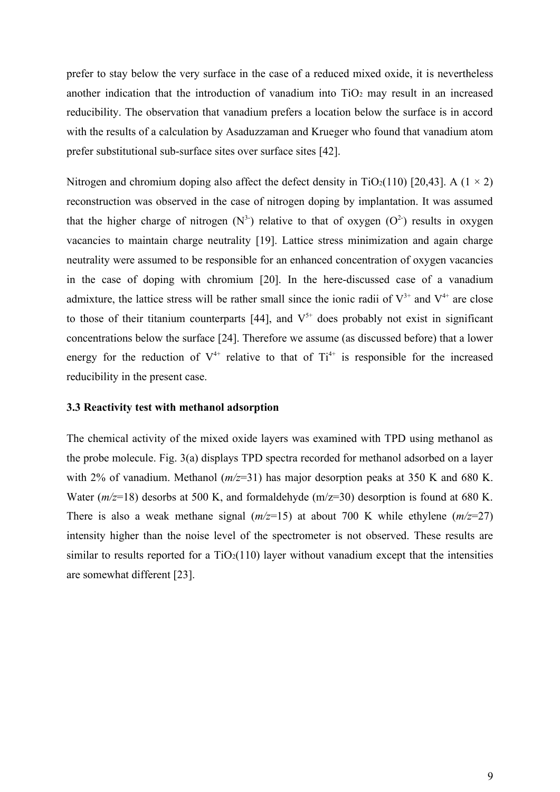prefer to stay below the very surface in the case of a reduced mixed oxide, it is nevertheless another indication that the introduction of vanadium into  $TiO<sub>2</sub>$  may result in an increased reducibility. The observation that vanadium prefers a location below the surface is in accord with the results of a calculation by Asaduzzaman and Krueger who found that vanadium atom prefer substitutional sub-surface sites over surface sites [42].

Nitrogen and chromium doping also affect the defect density in TiO<sub>2</sub>(110) [20,43]. A (1  $\times$  2) reconstruction was observed in the case of nitrogen doping by implantation. It was assumed that the higher charge of nitrogen  $(N^3)$  relative to that of oxygen  $(O^2)$  results in oxygen vacancies to maintain charge neutrality [19]. Lattice stress minimization and again charge neutrality were assumed to be responsible for an enhanced concentration of oxygen vacancies in the case of doping with chromium [20]. In the here-discussed case of a vanadium admixture, the lattice stress will be rather small since the ionic radii of  $V^{3+}$  and  $V^{4+}$  are close to those of their titanium counterparts [44], and  $V^{5+}$  does probably not exist in significant concentrations below the surface [24]. Therefore we assume (as discussed before) that a lower energy for the reduction of  $V^{4+}$  relative to that of  $Ti^{4+}$  is responsible for the increased reducibility in the present case.

# **3.3 Reactivity test with methanol adsorption**

The chemical activity of the mixed oxide layers was examined with TPD using methanol as the probe molecule. Fig. 3(a) displays TPD spectra recorded for methanol adsorbed on a layer with 2% of vanadium. Methanol (*m/z*=31) has major desorption peaks at 350 K and 680 K. Water ( $m/z=18$ ) desorbs at 500 K, and formaldehyde ( $m/z=30$ ) desorption is found at 680 K. There is also a weak methane signal  $(m/z=15)$  at about 700 K while ethylene  $(m/z=27)$ intensity higher than the noise level of the spectrometer is not observed. These results are similar to results reported for a  $TiO<sub>2</sub>(110)$  layer without vanadium except that the intensities are somewhat different [23].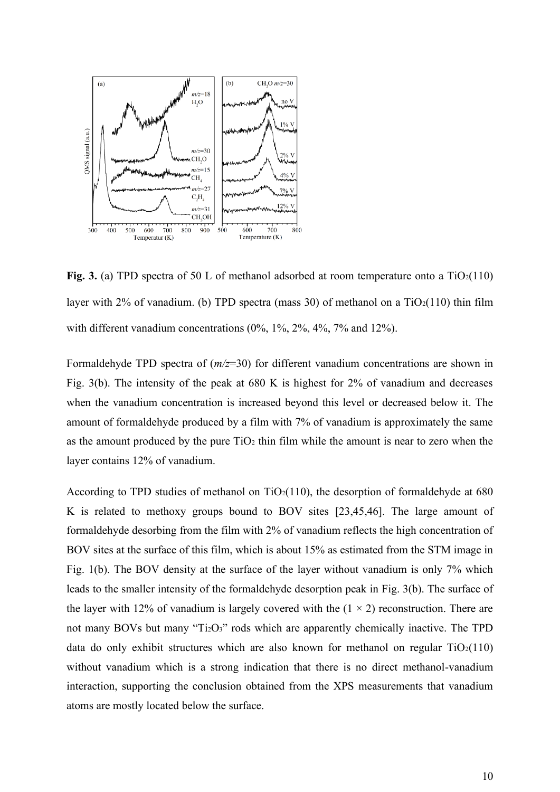

**Fig. 3.** (a) TPD spectra of 50 L of methanol adsorbed at room temperature onto a  $TiO<sub>2</sub>(110)$ layer with 2% of vanadium. (b) TPD spectra (mass 30) of methanol on a  $TiO<sub>2</sub>(110)$  thin film with different vanadium concentrations (0%, 1%, 2%, 4%, 7% and 12%).

Formaldehyde TPD spectra of (*m/z*=30) for different vanadium concentrations are shown in Fig. 3(b). The intensity of the peak at 680 K is highest for 2% of vanadium and decreases when the vanadium concentration is increased beyond this level or decreased below it. The amount of formaldehyde produced by a film with 7% of vanadium is approximately the same as the amount produced by the pure  $TiO<sub>2</sub>$  thin film while the amount is near to zero when the layer contains 12% of vanadium.

According to TPD studies of methanol on  $TiO<sub>2</sub>(110)$ , the desorption of formaldehyde at 680 K is related to methoxy groups bound to BOV sites [23,45,46]. The large amount of formaldehyde desorbing from the film with 2% of vanadium reflects the high concentration of BOV sites at the surface of this film, which is about 15% as estimated from the STM image in Fig. 1(b). The BOV density at the surface of the layer without vanadium is only 7% which leads to the smaller intensity of the formaldehyde desorption peak in Fig. 3(b). The surface of the layer with 12% of vanadium is largely covered with the  $(1 \times 2)$  reconstruction. There are not many BOVs but many "Ti2O3" rods which are apparently chemically inactive. The TPD data do only exhibit structures which are also known for methanol on regular  $TiO<sub>2</sub>(110)$ without vanadium which is a strong indication that there is no direct methanol-vanadium interaction, supporting the conclusion obtained from the XPS measurements that vanadium atoms are mostly located below the surface.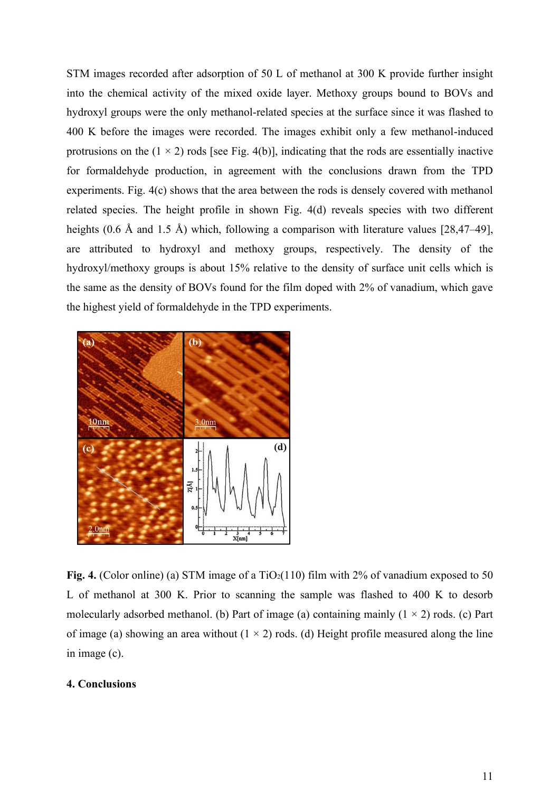STM images recorded after adsorption of 50 L of methanol at 300 K provide further insight into the chemical activity of the mixed oxide layer. Methoxy groups bound to BOVs and hydroxyl groups were the only methanol-related species at the surface since it was flashed to 400 K before the images were recorded. The images exhibit only a few methanol-induced protrusions on the  $(1 \times 2)$  rods [see Fig. 4(b)], indicating that the rods are essentially inactive for formaldehyde production, in agreement with the conclusions drawn from the TPD experiments. Fig. 4(c) shows that the area between the rods is densely covered with methanol related species. The height profile in shown Fig. 4(d) reveals species with two different heights (0.6 Å and 1.5 Å) which, following a comparison with literature values [28,47–49], are attributed to hydroxyl and methoxy groups, respectively. The density of the hydroxyl/methoxy groups is about 15% relative to the density of surface unit cells which is the same as the density of BOVs found for the film doped with 2% of vanadium, which gave the highest yield of formaldehyde in the TPD experiments.



**Fig. 4.** (Color online) (a) STM image of a  $TiO<sub>2</sub>(110)$  film with 2% of vanadium exposed to 50 L of methanol at 300 K. Prior to scanning the sample was flashed to 400 K to desorb molecularly adsorbed methanol. (b) Part of image (a) containing mainly  $(1 \times 2)$  rods. (c) Part of image (a) showing an area without  $(1 \times 2)$  rods. (d) Height profile measured along the line in image (c).

## **4. Conclusions**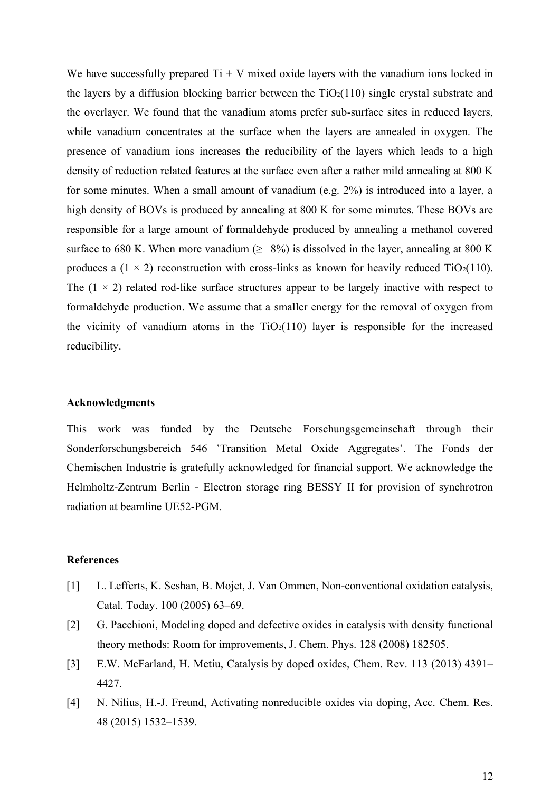We have successfully prepared  $Ti + V$  mixed oxide layers with the vanadium ions locked in the layers by a diffusion blocking barrier between the  $TiO<sub>2</sub>(110)$  single crystal substrate and the overlayer. We found that the vanadium atoms prefer sub-surface sites in reduced layers, while vanadium concentrates at the surface when the layers are annealed in oxygen. The presence of vanadium ions increases the reducibility of the layers which leads to a high density of reduction related features at the surface even after a rather mild annealing at 800 K for some minutes. When a small amount of vanadium (e.g. 2%) is introduced into a layer, a high density of BOVs is produced by annealing at 800 K for some minutes. These BOVs are responsible for a large amount of formaldehyde produced by annealing a methanol covered surface to 680 K. When more vanadium ( $\geq 8\%$ ) is dissolved in the layer, annealing at 800 K produces a  $(1 \times 2)$  reconstruction with cross-links as known for heavily reduced TiO<sub>2</sub>(110). The  $(1 \times 2)$  related rod-like surface structures appear to be largely inactive with respect to formaldehyde production. We assume that a smaller energy for the removal of oxygen from the vicinity of vanadium atoms in the  $TiO<sub>2</sub>(110)$  layer is responsible for the increased reducibility.

## **Acknowledgments**

This work was funded by the Deutsche Forschungsgemeinschaft through their Sonderforschungsbereich 546 'Transition Metal Oxide Aggregates'. The Fonds der Chemischen Industrie is gratefully acknowledged for financial support. We acknowledge the Helmholtz-Zentrum Berlin - Electron storage ring BESSY II for provision of synchrotron radiation at beamline UE52-PGM.

#### **References**

- [1] L. Lefferts, K. Seshan, B. Mojet, J. Van Ommen, Non-conventional oxidation catalysis, Catal. Today. 100 (2005) 63–69.
- [2] G. Pacchioni, Modeling doped and defective oxides in catalysis with density functional theory methods: Room for improvements, J. Chem. Phys. 128 (2008) 182505.
- [3] E.W. McFarland, H. Metiu, Catalysis by doped oxides, Chem. Rev. 113 (2013) 4391– 4427.
- [4] N. Nilius, H.-J. Freund, Activating nonreducible oxides via doping, Acc. Chem. Res. 48 (2015) 1532–1539.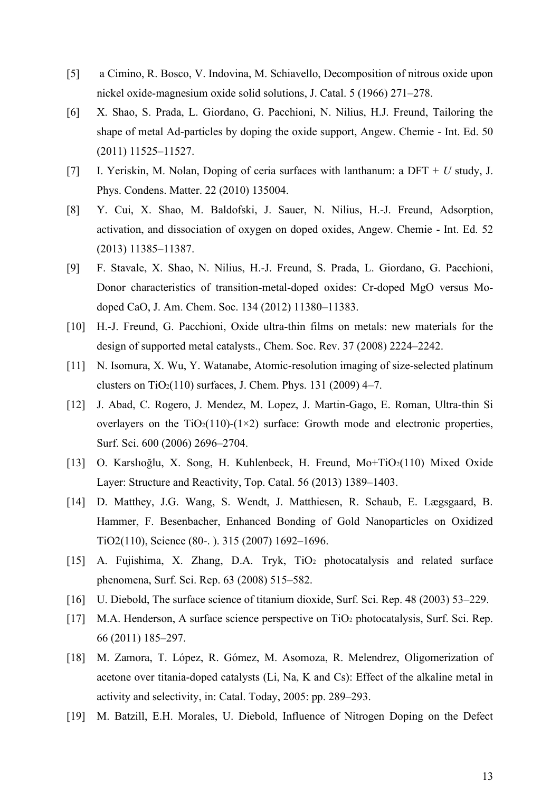- [5] a Cimino, R. Bosco, V. Indovina, M. Schiavello, Decomposition of nitrous oxide upon nickel oxide-magnesium oxide solid solutions, J. Catal. 5 (1966) 271–278.
- [6] X. Shao, S. Prada, L. Giordano, G. Pacchioni, N. Nilius, H.J. Freund, Tailoring the shape of metal Ad-particles by doping the oxide support, Angew. Chemie - Int. Ed. 50 (2011) 11525–11527.
- [7] I. Yeriskin, M. Nolan, Doping of ceria surfaces with lanthanum: a DFT + *U* study, J. Phys. Condens. Matter. 22 (2010) 135004.
- [8] Y. Cui, X. Shao, M. Baldofski, J. Sauer, N. Nilius, H.-J. Freund, Adsorption, activation, and dissociation of oxygen on doped oxides, Angew. Chemie - Int. Ed. 52 (2013) 11385–11387.
- [9] F. Stavale, X. Shao, N. Nilius, H.-J. Freund, S. Prada, L. Giordano, G. Pacchioni, Donor characteristics of transition-metal-doped oxides: Cr-doped MgO versus Modoped CaO, J. Am. Chem. Soc. 134 (2012) 11380–11383.
- [10] H.-J. Freund, G. Pacchioni, Oxide ultra-thin films on metals: new materials for the design of supported metal catalysts., Chem. Soc. Rev. 37 (2008) 2224–2242.
- [11] N. Isomura, X. Wu, Y. Watanabe, Atomic-resolution imaging of size-selected platinum clusters on  $TiO<sub>2</sub>(110)$  surfaces, J. Chem. Phys. 131 (2009) 4–7.
- [12] J. Abad, C. Rogero, J. Mendez, M. Lopez, J. Martin-Gago, E. Roman, Ultra-thin Si overlayers on the  $TiO<sub>2</sub>(110)-(1\times2)$  surface: Growth mode and electronic properties, Surf. Sci. 600 (2006) 2696–2704.
- [13] O. Karslıoğlu, X. Song, H. Kuhlenbeck, H. Freund, Mo+TiO2(110) Mixed Oxide Layer: Structure and Reactivity, Top. Catal. 56 (2013) 1389–1403.
- [14] D. Matthey, J.G. Wang, S. Wendt, J. Matthiesen, R. Schaub, E. Lægsgaard, B. Hammer, F. Besenbacher, Enhanced Bonding of Gold Nanoparticles on Oxidized TiO2(110), Science (80-. ). 315 (2007) 1692–1696.
- [15] A. Fujishima, X. Zhang, D.A. Tryk, TiO<sub>2</sub> photocatalysis and related surface phenomena, Surf. Sci. Rep. 63 (2008) 515–582.
- [16] U. Diebold, The surface science of titanium dioxide, Surf. Sci. Rep. 48 (2003) 53–229.
- [17] M.A. Henderson, A surface science perspective on TiO<sub>2</sub> photocatalysis, Surf. Sci. Rep. 66 (2011) 185–297.
- [18] M. Zamora, T. López, R. Gómez, M. Asomoza, R. Melendrez, Oligomerization of acetone over titania-doped catalysts (Li, Na, K and Cs): Effect of the alkaline metal in activity and selectivity, in: Catal. Today, 2005: pp. 289–293.
- [19] M. Batzill, E.H. Morales, U. Diebold, Influence of Nitrogen Doping on the Defect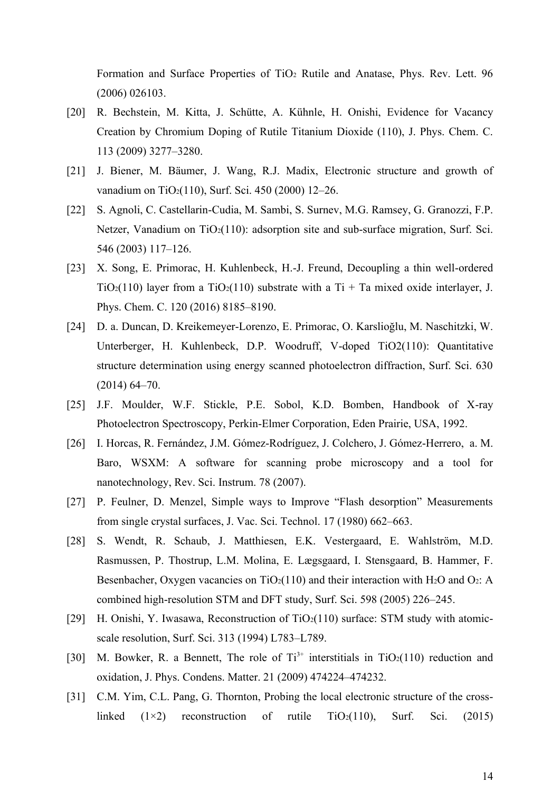Formation and Surface Properties of TiO<sub>2</sub> Rutile and Anatase, Phys. Rev. Lett. 96 (2006) 026103.

- [20] R. Bechstein, M. Kitta, J. Schütte, A. Kühnle, H. Onishi, Evidence for Vacancy Creation by Chromium Doping of Rutile Titanium Dioxide (110), J. Phys. Chem. C. 113 (2009) 3277–3280.
- [21] J. Biener, M. Bäumer, J. Wang, R.J. Madix, Electronic structure and growth of vanadium on TiO2(110), Surf. Sci. 450 (2000) 12–26.
- [22] S. Agnoli, C. Castellarin-Cudia, M. Sambi, S. Surnev, M.G. Ramsey, G. Granozzi, F.P. Netzer, Vanadium on  $TiO<sub>2</sub>(110)$ : adsorption site and sub-surface migration, Surf. Sci. 546 (2003) 117–126.
- [23] X. Song, E. Primorac, H. Kuhlenbeck, H.-J. Freund, Decoupling a thin well-ordered TiO<sub>2</sub>(110) layer from a TiO<sub>2</sub>(110) substrate with a Ti + Ta mixed oxide interlayer, J. Phys. Chem. C. 120 (2016) 8185–8190.
- [24] D. a. Duncan, D. Kreikemeyer-Lorenzo, E. Primorac, O. Karslioğlu, M. Naschitzki, W. Unterberger, H. Kuhlenbeck, D.P. Woodruff, V-doped TiO2(110): Quantitative structure determination using energy scanned photoelectron diffraction, Surf. Sci. 630 (2014) 64–70.
- [25] J.F. Moulder, W.F. Stickle, P.E. Sobol, K.D. Bomben, Handbook of X-ray Photoelectron Spectroscopy, Perkin-Elmer Corporation, Eden Prairie, USA, 1992.
- [26] I. Horcas, R. Fernández, J.M. Gómez-Rodríguez, J. Colchero, J. Gómez-Herrero, a. M. Baro, WSXM: A software for scanning probe microscopy and a tool for nanotechnology, Rev. Sci. Instrum. 78 (2007).
- [27] P. Feulner, D. Menzel, Simple ways to Improve "Flash desorption" Measurements from single crystal surfaces, J. Vac. Sci. Technol. 17 (1980) 662–663.
- [28] S. Wendt, R. Schaub, J. Matthiesen, E.K. Vestergaard, E. Wahlström, M.D. Rasmussen, P. Thostrup, L.M. Molina, E. Lægsgaard, I. Stensgaard, B. Hammer, F. Besenbacher, Oxygen vacancies on  $TiO<sub>2</sub>(110)$  and their interaction with H<sub>2</sub>O and O<sub>2</sub>: A combined high-resolution STM and DFT study, Surf. Sci. 598 (2005) 226–245.
- [29] H. Onishi, Y. Iwasawa, Reconstruction of  $TiO<sub>2</sub>(110)$  surface: STM study with atomicscale resolution, Surf. Sci. 313 (1994) L783–L789.
- [30] M. Bowker, R. a Bennett, The role of  $Ti^{3+}$  interstitials in TiO<sub>2</sub>(110) reduction and oxidation, J. Phys. Condens. Matter. 21 (2009) 474224–474232.
- [31] C.M. Yim, C.L. Pang, G. Thornton, Probing the local electronic structure of the crosslinked  $(1\times2)$  reconstruction of rutile TiO<sub>2</sub>(110), Surf. Sci. (2015)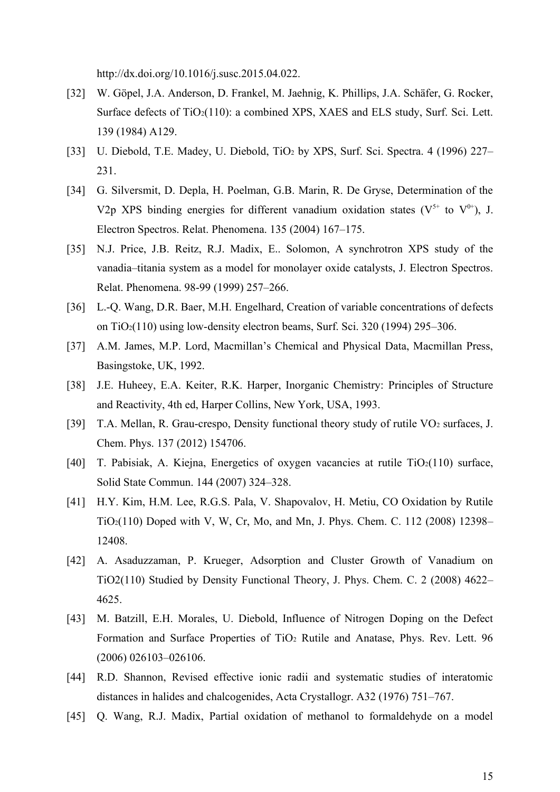http://dx.doi.org/10.1016/j.susc.2015.04.022.

- [32] W. Göpel, J.A. Anderson, D. Frankel, M. Jaehnig, K. Phillips, J.A. Schäfer, G. Rocker, Surface defects of  $TiO<sub>2</sub>(110)$ : a combined XPS, XAES and ELS study, Surf. Sci. Lett. 139 (1984) A129.
- [33] U. Diebold, T.E. Madey, U. Diebold, TiO<sup>2</sup> by XPS, Surf. Sci. Spectra. 4 (1996) 227– 231.
- [34] G. Silversmit, D. Depla, H. Poelman, G.B. Marin, R. De Gryse, Determination of the V2p XPS binding energies for different vanadium oxidation states ( $V^{5+}$  to  $V^{0+}$ ), J. Electron Spectros. Relat. Phenomena. 135 (2004) 167–175.
- [35] N.J. Price, J.B. Reitz, R.J. Madix, E.. Solomon, A synchrotron XPS study of the vanadia–titania system as a model for monolayer oxide catalysts, J. Electron Spectros. Relat. Phenomena. 98-99 (1999) 257–266.
- [36] L.-Q. Wang, D.R. Baer, M.H. Engelhard, Creation of variable concentrations of defects on TiO2(110) using low-density electron beams, Surf. Sci. 320 (1994) 295–306.
- [37] A.M. James, M.P. Lord, Macmillan's Chemical and Physical Data, Macmillan Press, Basingstoke, UK, 1992.
- [38] J.E. Huheey, E.A. Keiter, R.K. Harper, Inorganic Chemistry: Principles of Structure and Reactivity, 4th ed, Harper Collins, New York, USA, 1993.
- [39] T.A. Mellan, R. Grau-crespo, Density functional theory study of rutile VO<sub>2</sub> surfaces, J. Chem. Phys. 137 (2012) 154706.
- [40] T. Pabisiak, A. Kiejna, Energetics of oxygen vacancies at rutile  $TiO<sub>2</sub>(110)$  surface, Solid State Commun. 144 (2007) 324–328.
- [41] H.Y. Kim, H.M. Lee, R.G.S. Pala, V. Shapovalov, H. Metiu, CO Oxidation by Rutile TiO2(110) Doped with V, W, Cr, Mo, and Mn, J. Phys. Chem. C. 112 (2008) 12398– 12408.
- [42] A. Asaduzzaman, P. Krueger, Adsorption and Cluster Growth of Vanadium on TiO2(110) Studied by Density Functional Theory, J. Phys. Chem. C. 2 (2008) 4622– 4625.
- [43] M. Batzill, E.H. Morales, U. Diebold, Influence of Nitrogen Doping on the Defect Formation and Surface Properties of TiO<sub>2</sub> Rutile and Anatase, Phys. Rev. Lett. 96 (2006) 026103–026106.
- [44] R.D. Shannon, Revised effective ionic radii and systematic studies of interatomic distances in halides and chalcogenides, Acta Crystallogr. A32 (1976) 751–767.
- [45] Q. Wang, R.J. Madix, Partial oxidation of methanol to formaldehyde on a model